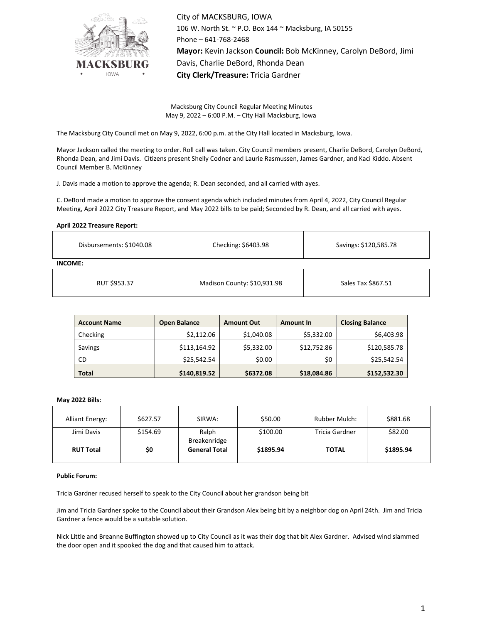

City of MACKSBURG, IOWA 106 W. North St. ~ P.O. Box 144 ~ Macksburg, IA 50155 Phone – 641-768-2468 **Mayor:** Kevin Jackson **Council:** Bob McKinney, Carolyn DeBord, Jimi Davis, Charlie DeBord, Rhonda Dean **City Clerk/Treasure:** Tricia Gardner

Macksburg City Council Regular Meeting Minutes May 9, 2022 – 6:00 P.M. – City Hall Macksburg, Iowa

The Macksburg City Council met on May 9, 2022, 6:00 p.m. at the City Hall located in Macksburg, Iowa.

Mayor Jackson called the meeting to order. Roll call was taken. City Council members present, Charlie DeBord, Carolyn DeBord, Rhonda Dean, and Jimi Davis. Citizens present Shelly Codner and Laurie Rasmussen, James Gardner, and Kaci Kiddo. Absent Council Member B. McKinney

J. Davis made a motion to approve the agenda; R. Dean seconded, and all carried with ayes.

C. DeBord made a motion to approve the consent agenda which included minutes from April 4, 2022, City Council Regular Meeting, April 2022 City Treasure Report, and May 2022 bills to be paid; Seconded by R. Dean, and all carried with ayes.

**April 2022 Treasure Report:**

| Disbursements: \$1040.08 | Checking: \$6403.98 | Savings: \$120,585.78 |  |  |  |  |
|--------------------------|---------------------|-----------------------|--|--|--|--|
| <b>INCOME:</b>           |                     |                       |  |  |  |  |
|                          |                     |                       |  |  |  |  |

| RUT \$953.37 | Madison County: \$10,931.98 | Sales Tax \$867.51 |  |
|--------------|-----------------------------|--------------------|--|
|              |                             |                    |  |

| <b>Account Name</b> | <b>Open Balance</b> | <b>Amount Out</b> | <b>Amount In</b> | <b>Closing Balance</b> |  |
|---------------------|---------------------|-------------------|------------------|------------------------|--|
| Checking            | \$2,112.06          | \$1,040.08        | \$5,332.00       | \$6,403.98             |  |
| Savings             | \$113,164.92        | \$5,332.00        | \$12,752.86      | \$120,585.78           |  |
| <b>CD</b>           | \$25,542.54         | \$0.00            | \$0              | \$25,542.54            |  |
| <b>Total</b>        | \$140,819.52        | \$6372.08         | \$18,084.86      | \$152,532.30           |  |

# **May 2022 Bills:**

| <b>Alliant Energy:</b> | \$627.57 | SIRWA:                | \$50.00   | <b>Rubber Mulch:</b> | \$881.68  |
|------------------------|----------|-----------------------|-----------|----------------------|-----------|
| Jimi Davis             | \$154.69 | Ralph<br>Breakenridge | \$100.00  | Tricia Gardner       | \$82.00   |
| <b>RUT Total</b>       | \$0      | <b>General Total</b>  | \$1895.94 | <b>TOTAL</b>         | \$1895.94 |

## **Public Forum:**

Tricia Gardner recused herself to speak to the City Council about her grandson being bit

Jim and Tricia Gardner spoke to the Council about their Grandson Alex being bit by a neighbor dog on April 24th. Jim and Tricia Gardner a fence would be a suitable solution.

Nick Little and Breanne Buffington showed up to City Council as it was their dog that bit Alex Gardner. Advised wind slammed the door open and it spooked the dog and that caused him to attack.